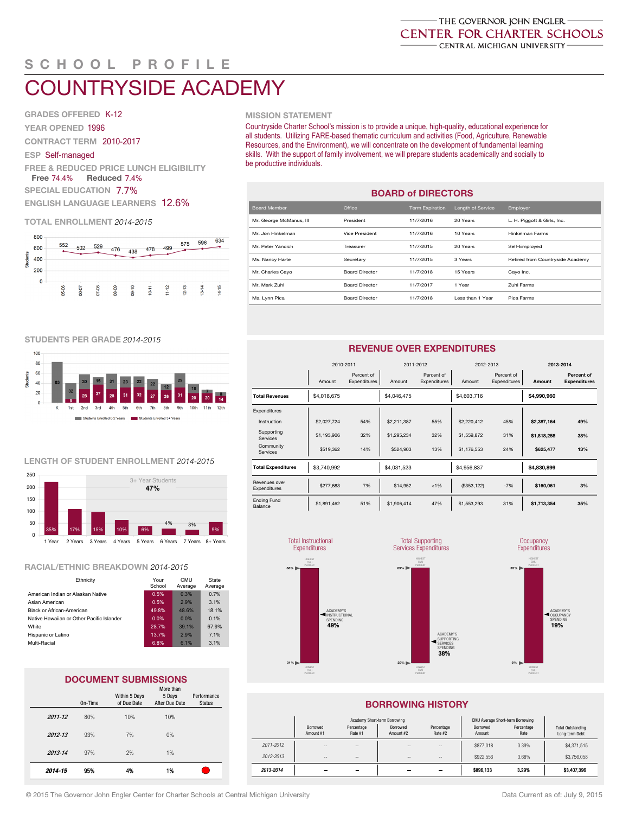# SCHOOL PROFILE  $\frac{1}{2}$  served  $\frac{1}{2}$

#### COUNTRYSIDE ACADEMY K-12 Charter Contract 2010-2017

GRADES OFFERED K-12 YEAR OPENED 1996  $\mathcal{G}$ 

YEAR OPENED 1996<br>CONTRACT TERM 2010-2017

### ESP Self-managed

ESP Self-managed<br>FREE & REDUCED PRICE LUNCH ELIGIBILITY TEE & REDUCED PRICE LUNCH ELI<br>Free 74.4% Reduced 7.4%

SPECIAL EDUCATION 7.7%

<u>ENGLISH LANGUAGE LEARNERS 12.6%</u>

# TOTAL ENROLLMENT 2014-2015



### MISSION STATEMENT

Countryside Charter School's mission is to provide a unique, high-quality, educational experience for all students. Utilizing FARE-based thematic curriculum and activities (Food, Agriculture, Renewable Resources, and the Environment), we will concentrate on the development of fundamental learning skills. With the support of family involvement, we will prepare students academically and socially to be productive individuals.

| <b>BOARD of DIRECTORS</b> |                       |                        |                   |                                  |  |  |  |  |  |  |
|---------------------------|-----------------------|------------------------|-------------------|----------------------------------|--|--|--|--|--|--|
| Board Member              | Office                | <b>Term Expiration</b> | Length of Service | Employer                         |  |  |  |  |  |  |
| Mr. George McManus, III   | President             | 11/7/2016              | 20 Years          | L. H. Piggott & Girls, Inc.      |  |  |  |  |  |  |
| Mr. Jon Hinkelman         | Vice President        | 11/7/2016              | 10 Years          | <b>Hinkelman Farms</b>           |  |  |  |  |  |  |
| Mr. Peter Yancich         | Treasurer             | 11/7/2015              | 20 Years          | Self-Employed                    |  |  |  |  |  |  |
| Ms. Nancy Harte           | Secretary             | 11/7/2015              | 3 Years           | Retired from Countryside Academy |  |  |  |  |  |  |
| Mr. Charles Cayo          | <b>Board Director</b> | 11/7/2018              | 15 Years          | Cayo Inc.                        |  |  |  |  |  |  |
| Mr. Mark Zuhl             | <b>Board Director</b> | 11/7/2017              | 1 Year            | Zuhl Farms                       |  |  |  |  |  |  |
| Ms. Lynn Pica             | <b>Board Director</b> | 11/7/2018              | Less than 1 Year  | Pica Farms                       |  |  |  |  |  |  |

### STUDENTS PER GRADE 2014-2015



### LENGTH OF STUDENT ENROLLMENT 2014-2015



# RACIAL/ETHNIC BREAKDOWN 2014-2015

| Ethnicity                                 | Your<br>School | <b>CMU</b><br>Average | State<br>Average |  |
|-------------------------------------------|----------------|-----------------------|------------------|--|
| American Indian or Alaskan Native         | 0.5%           | 0.3%                  | 0.7%             |  |
| Asian American                            | 0.5%           | 2.9%                  | 3.1%             |  |
| Black or African-American                 | 49.8%          | 48.6%                 | 18.1%            |  |
| Native Hawaiian or Other Pacific Islander | 0.0%           | $0.0\%$               | 0.1%             |  |
| White                                     | 28.7%          | 39.1%                 | 67.9%            |  |
| Hispanic or Latino                        | 13.7%          | 2.9%                  | 7.1%             |  |
| Multi-Racial                              | 6.8%           | 6.1%                  | 3.1%             |  |
|                                           |                |                       |                  |  |

#### © 2015 DOCUMENT SUBMISSIONS<br>© 2015 The Governor John Engler Central Michigan University of Central Michigan U On-Time Within 5 Days of Due Date More than 5 Days After Due Date Performance Status 2011-12 80% 10% 10% 86% 100% 65% 81% 2012-13 93% 7% 0% 93% 100% 81% 100% 2013-14 97% 2% 1% 97% 90% 100% 96% 4) Percentages may not total 100% due to rounding **RACIAL BREAKING BREAKING BREAKING**  $\overline{0}$   $\overline{0}$   $\overline{0}$   $\overline{0}$   $\overline{0}$   $\overline{0}$   $\overline{0}$   $\overline{0}$   $\overline{0}$   $\overline{0}$   $\overline{0}$   $\overline{0}$   $\overline{0}$   $\overline{0}$   $\overline{0}$   $\overline{0}$   $\overline{0}$   $\overline{0}$   $\overline{0}$   $\overline{0}$   $\overline{0}$   $\overline{0}$   $\overline{0}$   $\overline{0}$   $\overline{$  $2012 - 13$   $3370$   $170$ 2014-15 95% 4% 1%  $2012 - 13$

### REVENUE OVER EXPENDITURES

|                               | 2010-2011   |                            | 2011-2012   |                            | 2012-2013    |                            | 2013-2014   |                                   |  |
|-------------------------------|-------------|----------------------------|-------------|----------------------------|--------------|----------------------------|-------------|-----------------------------------|--|
|                               | Amount      | Percent of<br>Expenditures | Amount      | Percent of<br>Expenditures | Amount       | Percent of<br>Expenditures | Amount      | Percent of<br><b>Expenditures</b> |  |
| <b>Total Revenues</b>         | \$4,018,675 |                            | \$4,046,475 |                            | \$4,603,716  |                            | \$4,990,960 |                                   |  |
| Expenditures                  |             |                            |             |                            |              |                            |             |                                   |  |
| Instruction                   | \$2,027,724 | 54%                        | \$2,211,387 | 55%                        | \$2,220,412  | 45%                        | \$2,387,164 | 49%                               |  |
| Supporting<br>Services        | \$1,193,906 | 32%                        | \$1,295,234 | 32%                        | \$1,559,872  | 31%                        | \$1,818,258 | 38%                               |  |
| Community<br>Services         | \$519,362   | 14%                        | \$524.903   | 13%                        | \$1,176,553  | 24%                        | \$625.477   | 13%                               |  |
| <b>Total Expenditures</b>     | \$3,740,992 |                            | \$4,031,523 |                            | \$4,956,837  |                            | \$4,830,899 |                                   |  |
| Revenues over<br>Expenditures | \$277,683   | 7%                         | \$14,952    | < 1%                       | (\$353, 122) | $-7%$                      | \$160,061   | 3%                                |  |
| <b>Ending Fund</b><br>Balance | \$1,891,462 | 51%                        | \$1,906.414 | 47%                        | \$1,553,293  | 31%                        | \$1,713,354 | 35%                               |  |





# Miscellaneous Documents \$2,387,164 \$1,818,258 \$936,351 \$2,387,164 \$1,818,258 \$936,351 \$2,387,164 \$1,818,258 \$936,351 Countryside Academy BORROWING HISTORY ACCOUNTABILITY SCORECARD

LOWEST CMU PERCENT

29%

| 2014-15     | 95% | 4%  | 1%  |  | 2013-2014 | -                     | --                    | --                           | --                    | \$896,133                        | 3.29%              | \$3,407,396                                |  |
|-------------|-----|-----|-----|--|-----------|-----------------------|-----------------------|------------------------------|-----------------------|----------------------------------|--------------------|--------------------------------------------|--|
| 2013-14     | 97% | 2%  | 1%  |  | 2012-2013 | $\sim$                | $\sim$ $-$            | $-$                          | $\sim$                | \$922,556                        | 3.68%              | \$3,756,058                                |  |
|             |     |     |     |  | 2011-2012 | $\sim$                | $\sim$ $-$            | $-$                          | $\sim$                | \$877,018                        | 3.39%              | \$4,371,515                                |  |
| 2012-13     | 93% | 7%  | 0%  |  |           | Borrowed<br>Amount #1 | Percentage<br>Rate #1 | Borrowed<br>Amount #2        | Percentage<br>Rate #2 | Borrowed<br>Amount               | Percentage<br>Rate | <b>Total Outstanding</b><br>Long-term Debt |  |
| $2011 - 12$ | 80% | 10% | 10% |  |           |                       |                       | Academy Short-term Borrowing |                       | CMU Average Short-term Borrowing |                    |                                            |  |

ACADEMY'S SUPPORTING SERVICES SPENDING 38%

ACADEMY'S SPENDING

HIGHEST CMU PERCENT

69%

© 2015 The Governor John Engler Center for Charter Schools at Central Michigan University

Printed: 3/10/2015 4:19 PM